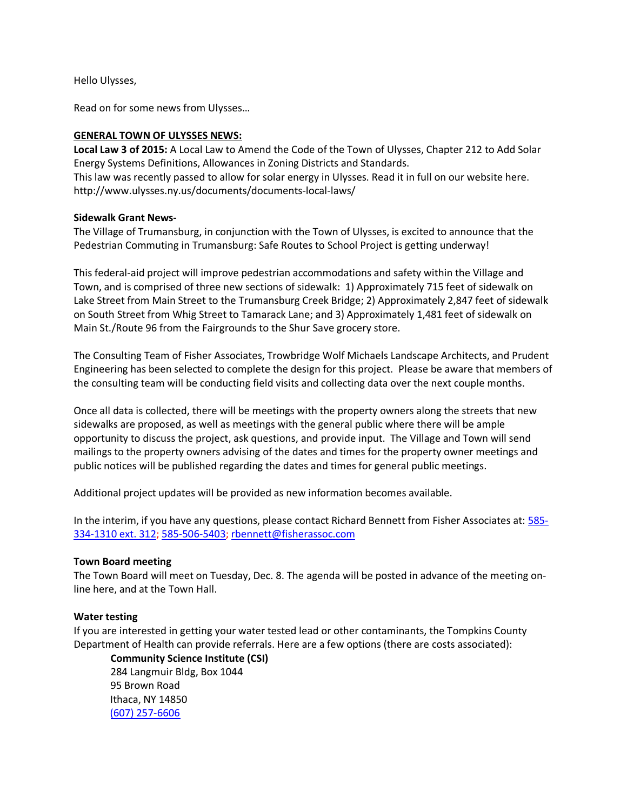Hello Ulysses,

Read on for some news from Ulysses…

## **GENERAL TOWN OF ULYSSES NEWS:**

**Local Law 3 of 2015:** A Local Law to Amend the Code of the Town of Ulysses, Chapter 212 to Add Solar Energy Systems Definitions, Allowances in Zoning Districts and Standards.

This law was recently passed to allow for solar energy in Ulysses. Read it in full on our website here. http://www.ulysses.ny.us/documents/documents-local-laws/

## **Sidewalk Grant News-**

The Village of Trumansburg, in conjunction with the Town of Ulysses, is excited to announce that the Pedestrian Commuting in Trumansburg: Safe Routes to School Project is getting underway!

This federal-aid project will improve pedestrian accommodations and safety within the Village and Town, and is comprised of three new sections of sidewalk: 1) Approximately 715 feet of sidewalk on Lake Street from Main Street to the Trumansburg Creek Bridge; 2) Approximately 2,847 feet of sidewalk on South Street from Whig Street to Tamarack Lane; and 3) Approximately 1,481 feet of sidewalk on Main St./Route 96 from the Fairgrounds to the Shur Save grocery store.

The Consulting Team of Fisher Associates, Trowbridge Wolf Michaels Landscape Architects, and Prudent Engineering has been selected to complete the design for this project. Please be aware that members of the consulting team will be conducting field visits and collecting data over the next couple months.

Once all data is collected, there will be meetings with the property owners along the streets that new sidewalks are proposed, as well as meetings with the general public where there will be ample opportunity to discuss the project, ask questions, and provide input. The Village and Town will send mailings to the property owners advising of the dates and times for the property owner meetings and public notices will be published regarding the dates and times for general public meetings.

Additional project updates will be provided as new information becomes available.

In the interim, if you have any questions, please contact Richard Bennett from Fisher Associates at: [585-](tel:585-334-1310%20ext.%20312) [334-1310 ext. 312;](tel:585-334-1310%20ext.%20312) [585-506-5403;](tel:585-506-5403) [rbennett@fisherassoc.com](mailto:rbennett@fisherassoc.com)

#### **Town Board meeting**

The Town Board will meet on Tuesday, Dec. 8. The agenda will be posted in advance of the meeting online here, and at the Town Hall.

# **Water testing**

If you are interested in getting your water tested lead or other contaminants, the Tompkins County Department of Health can provide referrals. Here are a few options (there are costs associated):

**Community Science Institute (CSI)**  284 Langmuir Bldg, Box 1044 95 Brown Road Ithaca, NY 14850 [\(607\) 257-6606](tel:%28607%29%20257%C2%AD6606)